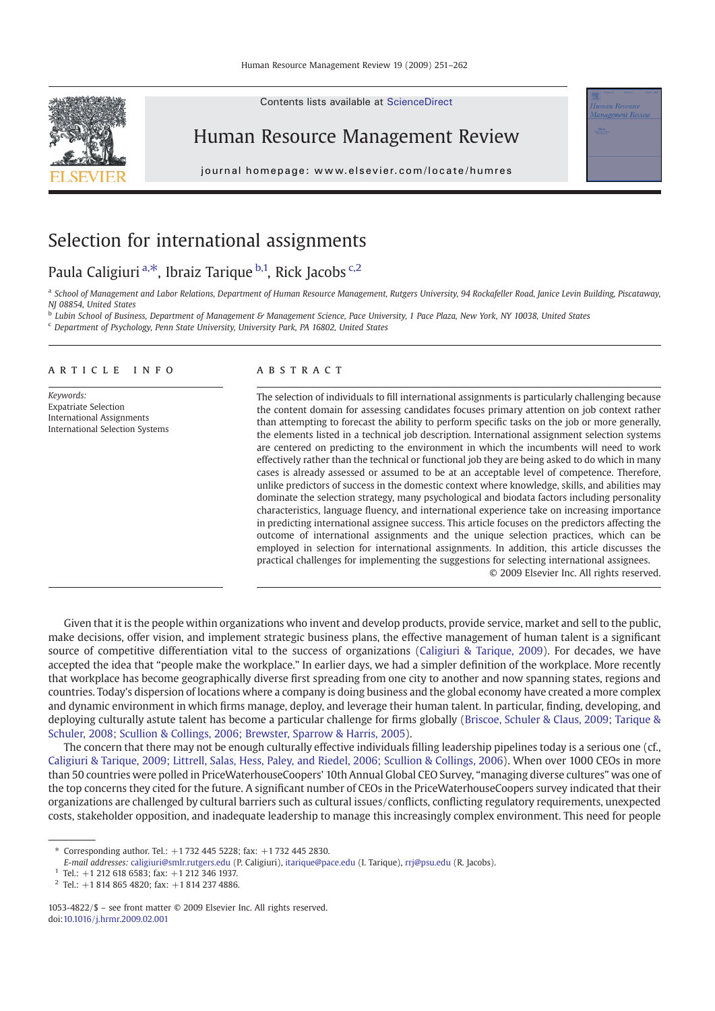Contents lists available at ScienceDirect

# Human Resource Management Review

journal homepage: www.elsevier.com/locate/humres

# Selection for international assignments

## Paula Caligiuri<sup>a,\*</sup>, Ibraiz Tarique<sup>b,1</sup>, Rick Jacobs<sup>c,2</sup>

a School of Management and Labor Relations, Department of Human Resource Management, Rutgers University, 94 Rockafeller Road, Janice Levin Building, Piscataway, NJ 08854, United States

<sup>b</sup> Lubin School of Business, Department of Management & Management Science, Pace University, 1 Pace Plaza, New York, NY 10038, United States

<sup>c</sup> Department of Psychology, Penn State University, University Park, PA 16802, United States

#### article info abstract

Keywords: Expatriate Selection International Assignments International Selection Systems

The selection of individuals to fill international assignments is particularly challenging because the content domain for assessing candidates focuses primary attention on job context rather than attempting to forecast the ability to perform specific tasks on the job or more generally, the elements listed in a technical job description. International assignment selection systems are centered on predicting to the environment in which the incumbents will need to work effectively rather than the technical or functional job they are being asked to do which in many cases is already assessed or assumed to be at an acceptable level of competence. Therefore, unlike predictors of success in the domestic context where knowledge, skills, and abilities may dominate the selection strategy, many psychological and biodata factors including personality characteristics, language fluency, and international experience take on increasing importance in predicting international assignee success. This article focuses on the predictors affecting the outcome of international assignments and the unique selection practices, which can be employed in selection for international assignments. In addition, this article discusses the practical challenges for implementing the suggestions for selecting international assignees.

© 2009 Elsevier Inc. All rights reserved.

Given that it is the people within organizations who invent and develop products, provide service, market and sell to the public, make decisions, offer vision, and implement strategic business plans, the effective management of human talent is a significant source of competitive differentiation vital to the success of organizations (Caligiuri & Tarique, 2009). For decades, we have accepted the idea that "people make the workplace." In earlier days, we had a simpler definition of the workplace. More recently that workplace has become geographically diverse first spreading from one city to another and now spanning states, regions and countries. Today's dispersion of locations where a company is doing business and the global economy have created a more complex and dynamic environment in which firms manage, deploy, and leverage their human talent. In particular, finding, developing, and deploying culturally astute talent has become a particular challenge for firms globally (Briscoe, Schuler & Claus, 2009; Tarique & Schuler, 2008; Scullion & Collings, 2006; Brewster, Sparrow & Harris, 2005).

The concern that there may not be enough culturally effective individuals filling leadership pipelines today is a serious one (cf., Caligiuri & Tarique, 2009; Littrell, Salas, Hess, Paley, and Riedel, 2006; Scullion & Collings, 2006). When over 1000 CEOs in more than 50 countries were polled in PriceWaterhouseCoopers' 10th Annual Global CEO Survey, "managing diverse cultures" was one of the top concerns they cited for the future. A significant number of CEOs in the PriceWaterhouseCoopers survey indicated that their organizations are challenged by cultural barriers such as cultural issues/conflicts, conflicting regulatory requirements, unexpected costs, stakeholder opposition, and inadequate leadership to manage this increasingly complex environment. This need for people



<sup>⁎</sup> Corresponding author. Tel.: +1 732 445 5228; fax: +1 732 445 2830.

E-mail addresses: caligiuri@smlr.rutgers.edu (P. Caligiuri), itarique@pace.edu (I. Tarique), rrj@psu.edu (R. Jacobs).

 $1$  Tel.: +1 212 618 6583; fax: +1 212 346 1937.

 $2$  Tel.: +1 814 865 4820; fax: +1 814 237 4886.

<sup>1053-4822/\$</sup> – see front matter © 2009 Elsevier Inc. All rights reserved. doi:10.1016/j.hrmr.2009.02.001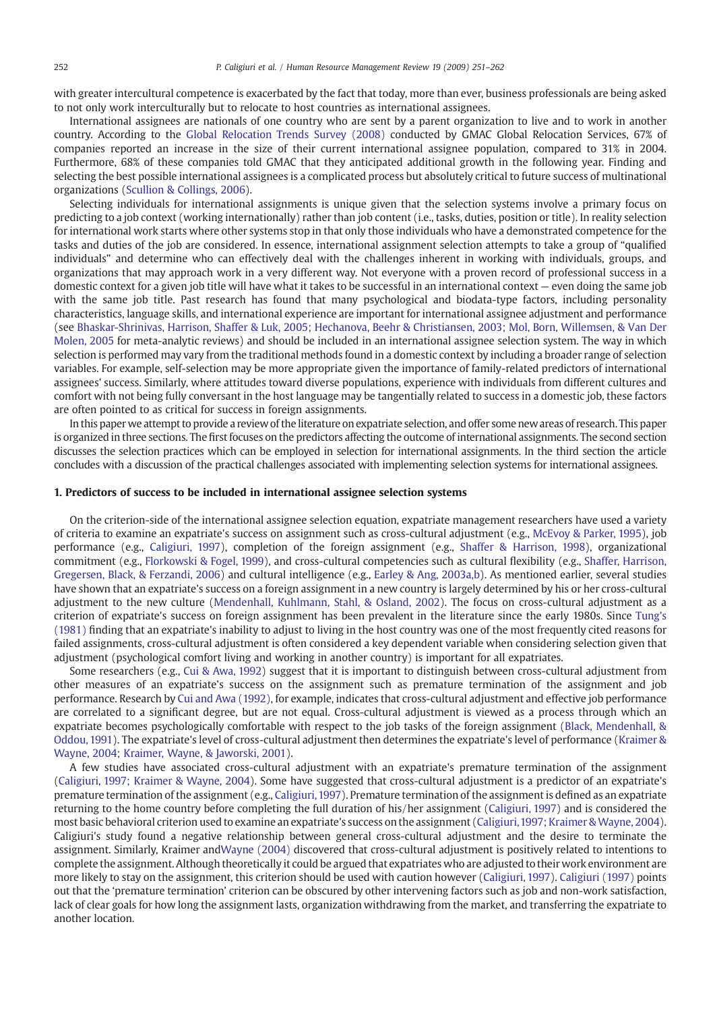with greater intercultural competence is exacerbated by the fact that today, more than ever, business professionals are being asked to not only work interculturally but to relocate to host countries as international assignees.

International assignees are nationals of one country who are sent by a parent organization to live and to work in another country. According to the Global Relocation Trends Survey (2008) conducted by GMAC Global Relocation Services, 67% of companies reported an increase in the size of their current international assignee population, compared to 31% in 2004. Furthermore, 68% of these companies told GMAC that they anticipated additional growth in the following year. Finding and selecting the best possible international assignees is a complicated process but absolutely critical to future success of multinational organizations (Scullion & Collings, 2006).

Selecting individuals for international assignments is unique given that the selection systems involve a primary focus on predicting to a job context (working internationally) rather than job content (i.e., tasks, duties, position or title). In reality selection for international work starts where other systems stop in that only those individuals who have a demonstrated competence for the tasks and duties of the job are considered. In essence, international assignment selection attempts to take a group of "qualified individuals" and determine who can effectively deal with the challenges inherent in working with individuals, groups, and organizations that may approach work in a very different way. Not everyone with a proven record of professional success in a domestic context for a given job title will have what it takes to be successful in an international context — even doing the same job with the same job title. Past research has found that many psychological and biodata-type factors, including personality characteristics, language skills, and international experience are important for international assignee adjustment and performance (see Bhaskar-Shrinivas, Harrison, Shaffer & Luk, 2005; Hechanova, Beehr & Christiansen, 2003; Mol, Born, Willemsen, & Van Der Molen, 2005 for meta-analytic reviews) and should be included in an international assignee selection system. The way in which selection is performed may vary from the traditional methods found in a domestic context by including a broader range of selection variables. For example, self-selection may be more appropriate given the importance of family-related predictors of international assignees' success. Similarly, where attitudes toward diverse populations, experience with individuals from different cultures and comfort with not being fully conversant in the host language may be tangentially related to success in a domestic job, these factors are often pointed to as critical for success in foreign assignments.

In this paper we attempt to provide a review of the literature on expatriate selection, and offer some new areas of research. This paper is organized in three sections. The first focuses on the predictors affecting the outcome of international assignments. The second section discusses the selection practices which can be employed in selection for international assignments. In the third section the article concludes with a discussion of the practical challenges associated with implementing selection systems for international assignees.

#### 1. Predictors of success to be included in international assignee selection systems

On the criterion-side of the international assignee selection equation, expatriate management researchers have used a variety of criteria to examine an expatriate's success on assignment such as cross-cultural adjustment (e.g., McEvoy & Parker, 1995), job performance (e.g., Caligiuri, 1997), completion of the foreign assignment (e.g., Shaffer & Harrison, 1998), organizational commitment (e.g., Florkowski & Fogel, 1999), and cross-cultural competencies such as cultural flexibility (e.g., Shaffer, Harrison, Gregersen, Black, & Ferzandi, 2006) and cultural intelligence (e.g., Earley & Ang, 2003a,b). As mentioned earlier, several studies have shown that an expatriate's success on a foreign assignment in a new country is largely determined by his or her cross-cultural adjustment to the new culture (Mendenhall, Kuhlmann, Stahl, & Osland, 2002). The focus on cross-cultural adjustment as a criterion of expatriate's success on foreign assignment has been prevalent in the literature since the early 1980s. Since Tung's (1981) finding that an expatriate's inability to adjust to living in the host country was one of the most frequently cited reasons for failed assignments, cross-cultural adjustment is often considered a key dependent variable when considering selection given that adjustment (psychological comfort living and working in another country) is important for all expatriates.

Some researchers (e.g., Cui & Awa, 1992) suggest that it is important to distinguish between cross-cultural adjustment from other measures of an expatriate's success on the assignment such as premature termination of the assignment and job performance. Research by Cui and Awa (1992), for example, indicates that cross-cultural adjustment and effective job performance are correlated to a significant degree, but are not equal. Cross-cultural adjustment is viewed as a process through which an expatriate becomes psychologically comfortable with respect to the job tasks of the foreign assignment (Black, Mendenhall, & Oddou, 1991). The expatriate's level of cross-cultural adjustment then determines the expatriate's level of performance (Kraimer & Wayne, 2004; Kraimer, Wayne, & Jaworski, 2001).

A few studies have associated cross-cultural adjustment with an expatriate's premature termination of the assignment (Caligiuri, 1997; Kraimer & Wayne, 2004). Some have suggested that cross-cultural adjustment is a predictor of an expatriate's premature termination of the assignment (e.g., Caligiuri,1997). Premature termination of the assignment is defined as an expatriate returning to the home country before completing the full duration of his/her assignment (Caligiuri, 1997) and is considered the most basic behavioral criterion used to examine an expatriate's success on the assignment (Caligiuri,1997; Kraimer & Wayne, 2004). Caligiuri's study found a negative relationship between general cross-cultural adjustment and the desire to terminate the assignment. Similarly, Kraimer andWayne (2004) discovered that cross-cultural adjustment is positively related to intentions to complete the assignment. Although theoretically it could be argued that expatriates who are adjusted to their work environment are more likely to stay on the assignment, this criterion should be used with caution however (Caligiuri, 1997). Caligiuri (1997) points out that the 'premature termination' criterion can be obscured by other intervening factors such as job and non-work satisfaction, lack of clear goals for how long the assignment lasts, organization withdrawing from the market, and transferring the expatriate to another location.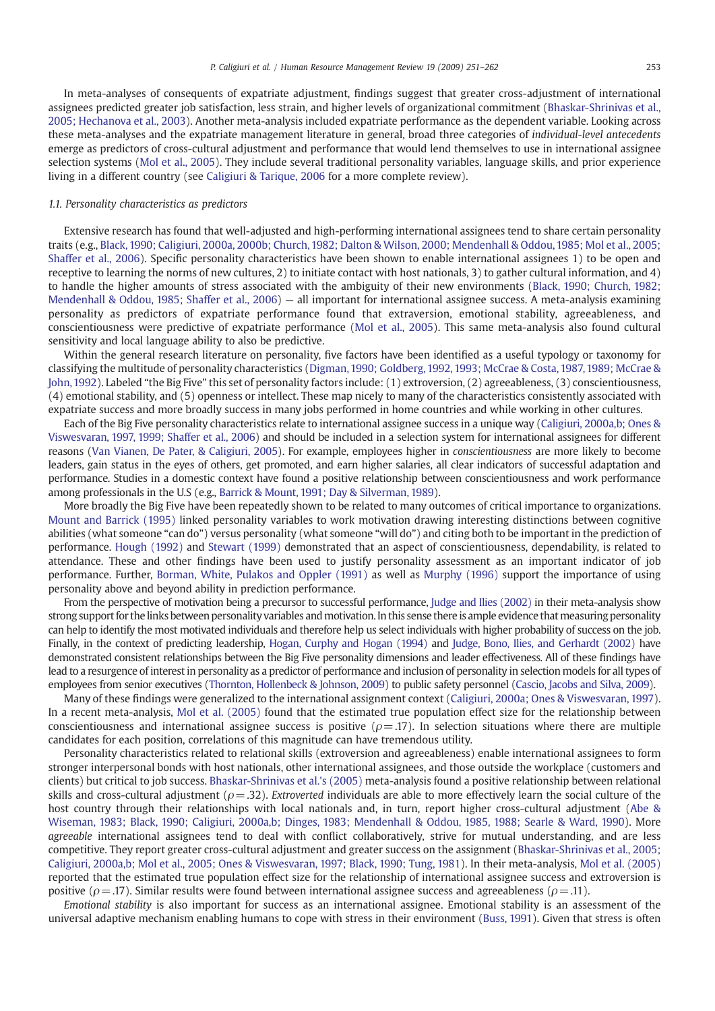In meta-analyses of consequents of expatriate adjustment, findings suggest that greater cross-adjustment of international assignees predicted greater job satisfaction, less strain, and higher levels of organizational commitment (Bhaskar-Shrinivas et al., 2005; Hechanova et al., 2003). Another meta-analysis included expatriate performance as the dependent variable. Looking across these meta-analyses and the expatriate management literature in general, broad three categories of individual-level antecedents emerge as predictors of cross-cultural adjustment and performance that would lend themselves to use in international assignee selection systems (Mol et al., 2005). They include several traditional personality variables, language skills, and prior experience living in a different country (see Caligiuri & Tarique, 2006 for a more complete review).

#### 1.1. Personality characteristics as predictors

Extensive research has found that well-adjusted and high-performing international assignees tend to share certain personality traits (e.g., Black, 1990; Caligiuri, 2000a, 2000b; Church, 1982; Dalton & Wilson, 2000; Mendenhall & Oddou, 1985; Mol et al., 2005; Shaffer et al., 2006). Specific personality characteristics have been shown to enable international assignees 1) to be open and receptive to learning the norms of new cultures, 2) to initiate contact with host nationals, 3) to gather cultural information, and 4) to handle the higher amounts of stress associated with the ambiguity of their new environments (Black, 1990; Church, 1982; Mendenhall & Oddou, 1985; Shaffer et al., 2006) — all important for international assignee success. A meta-analysis examining personality as predictors of expatriate performance found that extraversion, emotional stability, agreeableness, and conscientiousness were predictive of expatriate performance (Mol et al., 2005). This same meta-analysis also found cultural sensitivity and local language ability to also be predictive.

Within the general research literature on personality, five factors have been identified as a useful typology or taxonomy for classifying the multitude of personality characteristics (Digman, 1990; Goldberg, 1992, 1993; McCrae & Costa, 1987, 1989; McCrae & John,1992). Labeled "the Big Five" this set of personality factors include: (1) extroversion, (2) agreeableness, (3) conscientiousness, (4) emotional stability, and (5) openness or intellect. These map nicely to many of the characteristics consistently associated with expatriate success and more broadly success in many jobs performed in home countries and while working in other cultures.

Each of the Big Five personality characteristics relate to international assignee success in a unique way (Caligiuri, 2000a,b; Ones & Viswesvaran, 1997, 1999; Shaffer et al., 2006) and should be included in a selection system for international assignees for different reasons (Van Vianen, De Pater, & Caligiuri, 2005). For example, employees higher in conscientiousness are more likely to become leaders, gain status in the eyes of others, get promoted, and earn higher salaries, all clear indicators of successful adaptation and performance. Studies in a domestic context have found a positive relationship between conscientiousness and work performance among professionals in the U.S (e.g., Barrick & Mount, 1991; Day & Silverman, 1989).

More broadly the Big Five have been repeatedly shown to be related to many outcomes of critical importance to organizations. Mount and Barrick (1995) linked personality variables to work motivation drawing interesting distinctions between cognitive abilities (what someone "can do") versus personality (what someone "will do") and citing both to be important in the prediction of performance. Hough (1992) and Stewart (1999) demonstrated that an aspect of conscientiousness, dependability, is related to attendance. These and other findings have been used to justify personality assessment as an important indicator of job performance. Further, Borman, White, Pulakos and Oppler (1991) as well as Murphy (1996) support the importance of using personality above and beyond ability in prediction performance.

From the perspective of motivation being a precursor to successful performance, Judge and Ilies (2002) in their meta-analysis show strong support for the links between personality variables and motivation. In this sense there is ample evidence that measuring personality can help to identify the most motivated individuals and therefore help us select individuals with higher probability of success on the job. Finally, in the context of predicting leadership, Hogan, Curphy and Hogan (1994) and Judge, Bono, Ilies, and Gerhardt (2002) have demonstrated consistent relationships between the Big Five personality dimensions and leader effectiveness. All of these findings have lead to a resurgence of interest in personality as a predictor of performance and inclusion of personality in selection models for all types of employees from senior executives (Thornton, Hollenbeck & Johnson, 2009) to public safety personnel (Cascio, Jacobs and Silva, 2009).

Many of these findings were generalized to the international assignment context (Caligiuri, 2000a; Ones & Viswesvaran, 1997). In a recent meta-analysis, Mol et al. (2005) found that the estimated true population effect size for the relationship between conscientiousness and international assignee success is positive ( $\rho = .17$ ). In selection situations where there are multiple candidates for each position, correlations of this magnitude can have tremendous utility.

Personality characteristics related to relational skills (extroversion and agreeableness) enable international assignees to form stronger interpersonal bonds with host nationals, other international assignees, and those outside the workplace (customers and clients) but critical to job success. Bhaskar-Shrinivas et al.'s (2005) meta-analysis found a positive relationship between relational skills and cross-cultural adjustment ( $\rho$  = .32). Extroverted individuals are able to more effectively learn the social culture of the host country through their relationships with local nationals and, in turn, report higher cross-cultural adjustment (Abe & Wiseman, 1983; Black, 1990; Caligiuri, 2000a,b; Dinges, 1983; Mendenhall & Oddou, 1985, 1988; Searle & Ward, 1990). More agreeable international assignees tend to deal with conflict collaboratively, strive for mutual understanding, and are less competitive. They report greater cross-cultural adjustment and greater success on the assignment (Bhaskar-Shrinivas et al., 2005; Caligiuri, 2000a,b; Mol et al., 2005; Ones & Viswesvaran, 1997; Black, 1990; Tung, 1981). In their meta-analysis, Mol et al. (2005) reported that the estimated true population effect size for the relationship of international assignee success and extroversion is positive ( $\rho = .17$ ). Similar results were found between international assignee success and agreeableness ( $\rho = .11$ ).

Emotional stability is also important for success as an international assignee. Emotional stability is an assessment of the universal adaptive mechanism enabling humans to cope with stress in their environment (Buss, 1991). Given that stress is often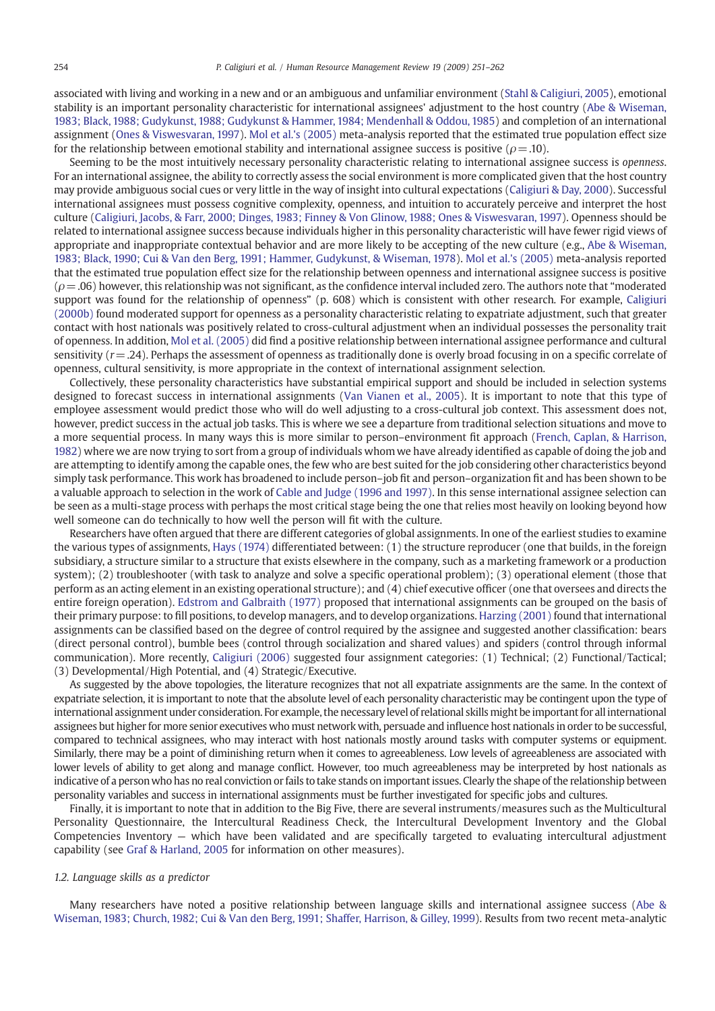associated with living and working in a new and or an ambiguous and unfamiliar environment (Stahl & Caligiuri, 2005), emotional stability is an important personality characteristic for international assignees' adjustment to the host country (Abe & Wiseman, 1983; Black, 1988; Gudykunst, 1988; Gudykunst & Hammer, 1984; Mendenhall & Oddou, 1985) and completion of an international assignment (Ones & Viswesvaran, 1997). Mol et al.'s (2005) meta-analysis reported that the estimated true population effect size for the relationship between emotional stability and international assignee success is positive ( $\rho = .10$ ).

Seeming to be the most intuitively necessary personality characteristic relating to international assignee success is openness. For an international assignee, the ability to correctly assess the social environment is more complicated given that the host country may provide ambiguous social cues or very little in the way of insight into cultural expectations (Caligiuri & Day, 2000). Successful international assignees must possess cognitive complexity, openness, and intuition to accurately perceive and interpret the host culture (Caligiuri, Jacobs, & Farr, 2000; Dinges, 1983; Finney & Von Glinow, 1988; Ones & Viswesvaran, 1997). Openness should be related to international assignee success because individuals higher in this personality characteristic will have fewer rigid views of appropriate and inappropriate contextual behavior and are more likely to be accepting of the new culture (e.g., Abe & Wiseman, 1983; Black, 1990; Cui & Van den Berg, 1991; Hammer, Gudykunst, & Wiseman, 1978). Mol et al.'s (2005) meta-analysis reported that the estimated true population effect size for the relationship between openness and international assignee success is positive  $(\rho = .06)$  however, this relationship was not significant, as the confidence interval included zero. The authors note that "moderated" support was found for the relationship of openness" (p. 608) which is consistent with other research. For example, Caligiuri (2000b) found moderated support for openness as a personality characteristic relating to expatriate adjustment, such that greater contact with host nationals was positively related to cross-cultural adjustment when an individual possesses the personality trait of openness. In addition, Mol et al. (2005) did find a positive relationship between international assignee performance and cultural sensitivity  $(r=.24)$ . Perhaps the assessment of openness as traditionally done is overly broad focusing in on a specific correlate of openness, cultural sensitivity, is more appropriate in the context of international assignment selection.

Collectively, these personality characteristics have substantial empirical support and should be included in selection systems designed to forecast success in international assignments (Van Vianen et al., 2005). It is important to note that this type of employee assessment would predict those who will do well adjusting to a cross-cultural job context. This assessment does not, however, predict success in the actual job tasks. This is where we see a departure from traditional selection situations and move to a more sequential process. In many ways this is more similar to person–environment fit approach (French, Caplan, & Harrison, 1982) where we are now trying to sort from a group of individuals whom we have already identified as capable of doing the job and are attempting to identify among the capable ones, the few who are best suited for the job considering other characteristics beyond simply task performance. This work has broadened to include person–job fit and person–organization fit and has been shown to be a valuable approach to selection in the work of Cable and Judge (1996 and 1997). In this sense international assignee selection can be seen as a multi-stage process with perhaps the most critical stage being the one that relies most heavily on looking beyond how well someone can do technically to how well the person will fit with the culture.

Researchers have often argued that there are different categories of global assignments. In one of the earliest studies to examine the various types of assignments, Hays (1974) differentiated between: (1) the structure reproducer (one that builds, in the foreign subsidiary, a structure similar to a structure that exists elsewhere in the company, such as a marketing framework or a production system); (2) troubleshooter (with task to analyze and solve a specific operational problem); (3) operational element (those that perform as an acting element in an existing operational structure); and (4) chief executive officer (one that oversees and directs the entire foreign operation). Edstrom and Galbraith (1977) proposed that international assignments can be grouped on the basis of their primary purpose: to fill positions, to develop managers, and to develop organizations. Harzing (2001) found that international assignments can be classified based on the degree of control required by the assignee and suggested another classification: bears (direct personal control), bumble bees (control through socialization and shared values) and spiders (control through informal communication). More recently, Caligiuri (2006) suggested four assignment categories: (1) Technical; (2) Functional/Tactical; (3) Developmental/High Potential, and (4) Strategic/Executive.

As suggested by the above topologies, the literature recognizes that not all expatriate assignments are the same. In the context of expatriate selection, it is important to note that the absolute level of each personality characteristic may be contingent upon the type of international assignment under consideration. For example, the necessarylevel of relational skillsmight be important for all international assignees but higher for more senior executives who must network with, persuade and influence host nationals in order to be successful, compared to technical assignees, who may interact with host nationals mostly around tasks with computer systems or equipment. Similarly, there may be a point of diminishing return when it comes to agreeableness. Low levels of agreeableness are associated with lower levels of ability to get along and manage conflict. However, too much agreeableness may be interpreted by host nationals as indicative of a personwho has no real conviction or fails to take stands on important issues. Clearly the shape of the relationship between personality variables and success in international assignments must be further investigated for specific jobs and cultures.

Finally, it is important to note that in addition to the Big Five, there are several instruments/measures such as the Multicultural Personality Questionnaire, the Intercultural Readiness Check, the Intercultural Development Inventory and the Global Competencies Inventory — which have been validated and are specifically targeted to evaluating intercultural adjustment capability (see Graf & Harland, 2005 for information on other measures).

#### 1.2. Language skills as a predictor

Many researchers have noted a positive relationship between language skills and international assignee success (Abe & Wiseman, 1983; Church, 1982; Cui & Van den Berg, 1991; Shaffer, Harrison, & Gilley, 1999). Results from two recent meta-analytic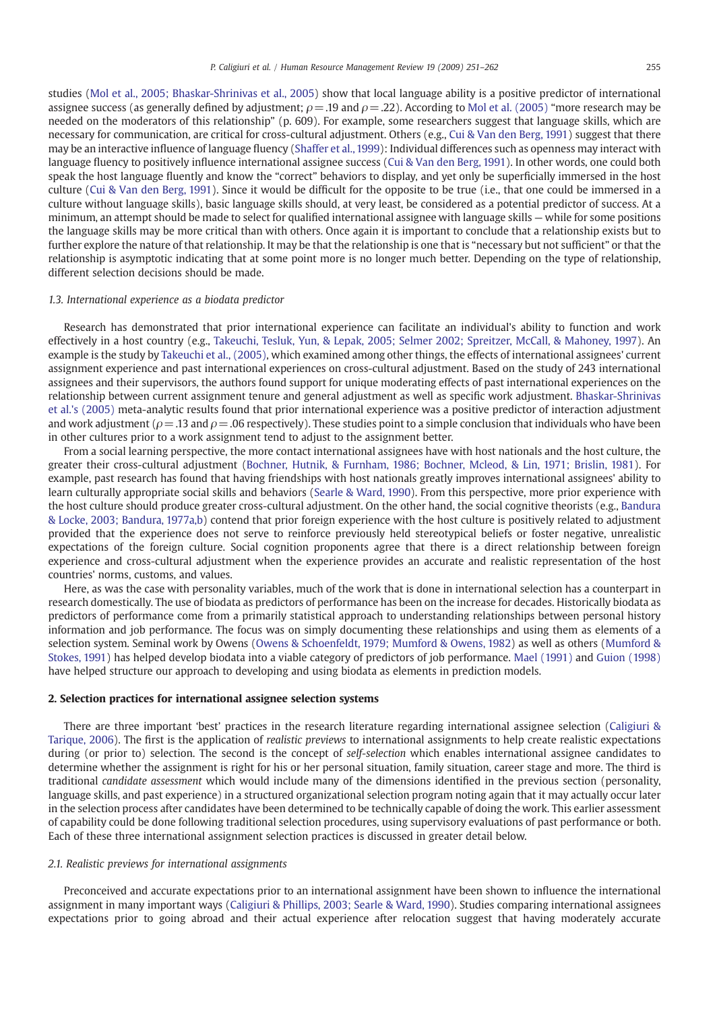studies (Mol et al., 2005; Bhaskar-Shrinivas et al., 2005) show that local language ability is a positive predictor of international assignee success (as generally defined by adjustment;  $\rho = .19$  and  $\rho = .22$ ). According to Mol et al. (2005) "more research may be needed on the moderators of this relationship" (p. 609). For example, some researchers suggest that language skills, which are necessary for communication, are critical for cross-cultural adjustment. Others (e.g., Cui & Van den Berg, 1991) suggest that there may be an interactive influence of language fluency (Shaffer et al., 1999): Individual differences such as openness may interact with language fluency to positively influence international assignee success (Cui & Van den Berg, 1991). In other words, one could both speak the host language fluently and know the "correct" behaviors to display, and yet only be superficially immersed in the host culture (Cui & Van den Berg, 1991). Since it would be difficult for the opposite to be true (i.e., that one could be immersed in a culture without language skills), basic language skills should, at very least, be considered as a potential predictor of success. At a minimum, an attempt should be made to select for qualified international assignee with language skills — while for some positions the language skills may be more critical than with others. Once again it is important to conclude that a relationship exists but to further explore the nature of that relationship. It may be that the relationship is one that is "necessary but not sufficient" or that the relationship is asymptotic indicating that at some point more is no longer much better. Depending on the type of relationship, different selection decisions should be made.

#### 1.3. International experience as a biodata predictor

Research has demonstrated that prior international experience can facilitate an individual's ability to function and work effectively in a host country (e.g., Takeuchi, Tesluk, Yun, & Lepak, 2005; Selmer 2002; Spreitzer, McCall, & Mahoney, 1997). An example is the study by Takeuchi et al., (2005), which examined among other things, the effects of international assignees' current assignment experience and past international experiences on cross-cultural adjustment. Based on the study of 243 international assignees and their supervisors, the authors found support for unique moderating effects of past international experiences on the relationship between current assignment tenure and general adjustment as well as specific work adjustment. Bhaskar-Shrinivas et al.'s (2005) meta-analytic results found that prior international experience was a positive predictor of interaction adjustment and work adjustment ( $\rho$  = .13 and  $\rho$  = .06 respectively). These studies point to a simple conclusion that individuals who have been in other cultures prior to a work assignment tend to adjust to the assignment better.

From a social learning perspective, the more contact international assignees have with host nationals and the host culture, the greater their cross-cultural adjustment (Bochner, Hutnik, & Furnham, 1986; Bochner, Mcleod, & Lin, 1971; Brislin, 1981). For example, past research has found that having friendships with host nationals greatly improves international assignees' ability to learn culturally appropriate social skills and behaviors (Searle & Ward, 1990). From this perspective, more prior experience with the host culture should produce greater cross-cultural adjustment. On the other hand, the social cognitive theorists (e.g., Bandura & Locke, 2003; Bandura, 1977a,b) contend that prior foreign experience with the host culture is positively related to adjustment provided that the experience does not serve to reinforce previously held stereotypical beliefs or foster negative, unrealistic expectations of the foreign culture. Social cognition proponents agree that there is a direct relationship between foreign experience and cross-cultural adjustment when the experience provides an accurate and realistic representation of the host countries' norms, customs, and values.

Here, as was the case with personality variables, much of the work that is done in international selection has a counterpart in research domestically. The use of biodata as predictors of performance has been on the increase for decades. Historically biodata as predictors of performance come from a primarily statistical approach to understanding relationships between personal history information and job performance. The focus was on simply documenting these relationships and using them as elements of a selection system. Seminal work by Owens (Owens & Schoenfeldt, 1979; Mumford & Owens, 1982) as well as others (Mumford & Stokes, 1991) has helped develop biodata into a viable category of predictors of job performance. Mael (1991) and Guion (1998) have helped structure our approach to developing and using biodata as elements in prediction models.

### 2. Selection practices for international assignee selection systems

There are three important 'best' practices in the research literature regarding international assignee selection (Caligiuri & Tarique, 2006). The first is the application of realistic previews to international assignments to help create realistic expectations during (or prior to) selection. The second is the concept of self-selection which enables international assignee candidates to determine whether the assignment is right for his or her personal situation, family situation, career stage and more. The third is traditional candidate assessment which would include many of the dimensions identified in the previous section (personality, language skills, and past experience) in a structured organizational selection program noting again that it may actually occur later in the selection process after candidates have been determined to be technically capable of doing the work. This earlier assessment of capability could be done following traditional selection procedures, using supervisory evaluations of past performance or both. Each of these three international assignment selection practices is discussed in greater detail below.

#### 2.1. Realistic previews for international assignments

Preconceived and accurate expectations prior to an international assignment have been shown to influence the international assignment in many important ways (Caligiuri & Phillips, 2003; Searle & Ward, 1990). Studies comparing international assignees expectations prior to going abroad and their actual experience after relocation suggest that having moderately accurate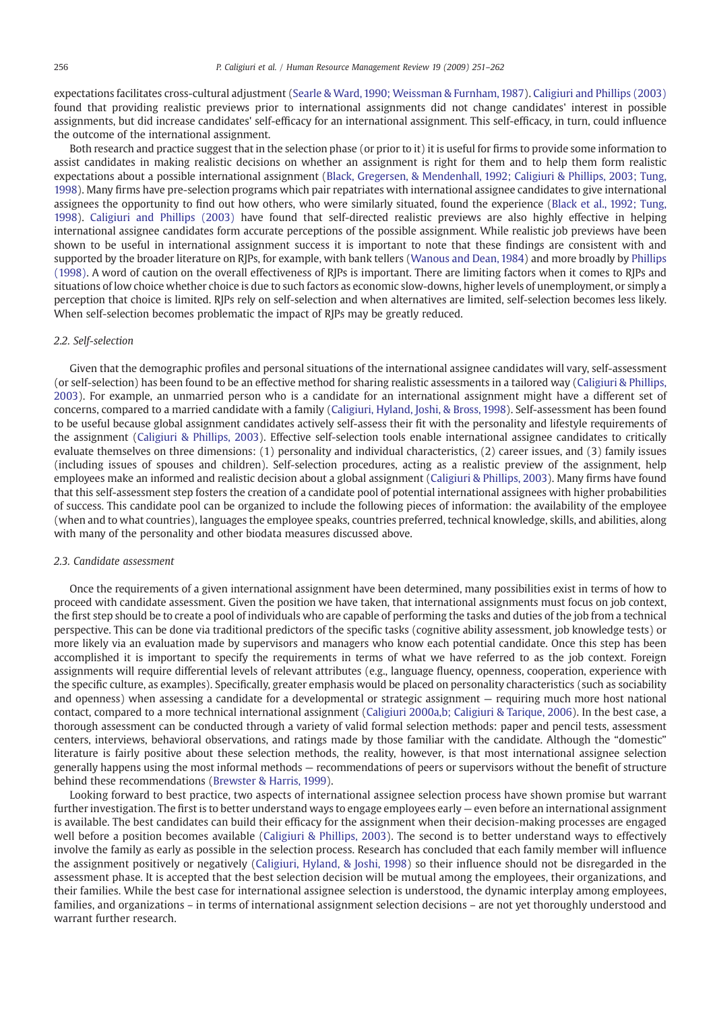expectations facilitates cross-cultural adjustment (Searle & Ward, 1990; Weissman & Furnham, 1987). Caligiuri and Phillips (2003) found that providing realistic previews prior to international assignments did not change candidates' interest in possible assignments, but did increase candidates' self-efficacy for an international assignment. This self-efficacy, in turn, could influence the outcome of the international assignment.

Both research and practice suggest that in the selection phase (or prior to it) it is useful for firms to provide some information to assist candidates in making realistic decisions on whether an assignment is right for them and to help them form realistic expectations about a possible international assignment (Black, Gregersen, & Mendenhall, 1992; Caligiuri & Phillips, 2003; Tung, 1998). Many firms have pre-selection programs which pair repatriates with international assignee candidates to give international assignees the opportunity to find out how others, who were similarly situated, found the experience (Black et al., 1992; Tung, 1998). Caligiuri and Phillips (2003) have found that self-directed realistic previews are also highly effective in helping international assignee candidates form accurate perceptions of the possible assignment. While realistic job previews have been shown to be useful in international assignment success it is important to note that these findings are consistent with and supported by the broader literature on RJPs, for example, with bank tellers (Wanous and Dean, 1984) and more broadly by Phillips (1998). A word of caution on the overall effectiveness of RJPs is important. There are limiting factors when it comes to RJPs and situations of low choice whether choice is due to such factors as economic slow-downs, higher levels of unemployment, or simply a perception that choice is limited. RJPs rely on self-selection and when alternatives are limited, self-selection becomes less likely. When self-selection becomes problematic the impact of RJPs may be greatly reduced.

#### 2.2. Self-selection

Given that the demographic profiles and personal situations of the international assignee candidates will vary, self-assessment (or self-selection) has been found to be an effective method for sharing realistic assessments in a tailored way (Caligiuri & Phillips, 2003). For example, an unmarried person who is a candidate for an international assignment might have a different set of concerns, compared to a married candidate with a family (Caligiuri, Hyland, Joshi, & Bross, 1998). Self-assessment has been found to be useful because global assignment candidates actively self-assess their fit with the personality and lifestyle requirements of the assignment (Caligiuri & Phillips, 2003). Effective self-selection tools enable international assignee candidates to critically evaluate themselves on three dimensions: (1) personality and individual characteristics, (2) career issues, and (3) family issues (including issues of spouses and children). Self-selection procedures, acting as a realistic preview of the assignment, help employees make an informed and realistic decision about a global assignment (Caligiuri & Phillips, 2003). Many firms have found that this self-assessment step fosters the creation of a candidate pool of potential international assignees with higher probabilities of success. This candidate pool can be organized to include the following pieces of information: the availability of the employee (when and to what countries), languages the employee speaks, countries preferred, technical knowledge, skills, and abilities, along with many of the personality and other biodata measures discussed above.

#### 2.3. Candidate assessment

Once the requirements of a given international assignment have been determined, many possibilities exist in terms of how to proceed with candidate assessment. Given the position we have taken, that international assignments must focus on job context, the first step should be to create a pool of individuals who are capable of performing the tasks and duties of the job from a technical perspective. This can be done via traditional predictors of the specific tasks (cognitive ability assessment, job knowledge tests) or more likely via an evaluation made by supervisors and managers who know each potential candidate. Once this step has been accomplished it is important to specify the requirements in terms of what we have referred to as the job context. Foreign assignments will require differential levels of relevant attributes (e.g., language fluency, openness, cooperation, experience with the specific culture, as examples). Specifically, greater emphasis would be placed on personality characteristics (such as sociability and openness) when assessing a candidate for a developmental or strategic assignment — requiring much more host national contact, compared to a more technical international assignment (Caligiuri 2000a,b; Caligiuri & Tarique, 2006). In the best case, a thorough assessment can be conducted through a variety of valid formal selection methods: paper and pencil tests, assessment centers, interviews, behavioral observations, and ratings made by those familiar with the candidate. Although the "domestic" literature is fairly positive about these selection methods, the reality, however, is that most international assignee selection generally happens using the most informal methods — recommendations of peers or supervisors without the benefit of structure behind these recommendations (Brewster & Harris, 1999).

Looking forward to best practice, two aspects of international assignee selection process have shown promise but warrant further investigation. The first is to better understand ways to engage employees early — even before an international assignment is available. The best candidates can build their efficacy for the assignment when their decision-making processes are engaged well before a position becomes available (Caligiuri & Phillips, 2003). The second is to better understand ways to effectively involve the family as early as possible in the selection process. Research has concluded that each family member will influence the assignment positively or negatively (Caligiuri, Hyland, & Joshi, 1998) so their influence should not be disregarded in the assessment phase. It is accepted that the best selection decision will be mutual among the employees, their organizations, and their families. While the best case for international assignee selection is understood, the dynamic interplay among employees, families, and organizations – in terms of international assignment selection decisions – are not yet thoroughly understood and warrant further research.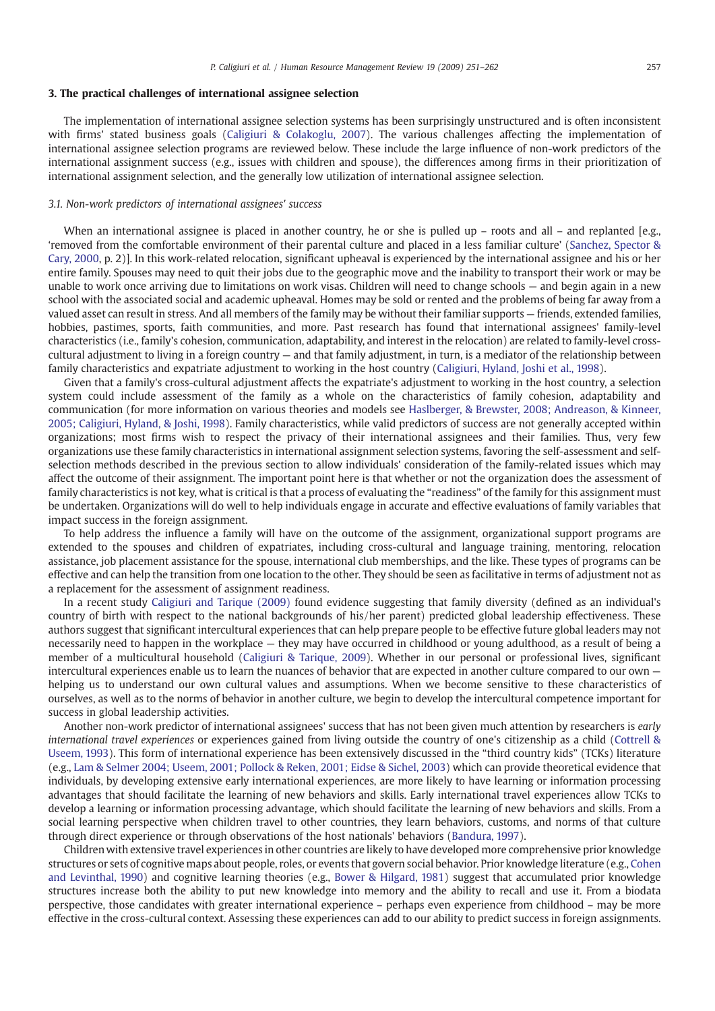#### 3. The practical challenges of international assignee selection

The implementation of international assignee selection systems has been surprisingly unstructured and is often inconsistent with firms' stated business goals (Caligiuri & Colakoglu, 2007). The various challenges affecting the implementation of international assignee selection programs are reviewed below. These include the large influence of non-work predictors of the international assignment success (e.g., issues with children and spouse), the differences among firms in their prioritization of international assignment selection, and the generally low utilization of international assignee selection.

#### 3.1. Non-work predictors of international assignees' success

When an international assignee is placed in another country, he or she is pulled up – roots and all – and replanted [e.g., 'removed from the comfortable environment of their parental culture and placed in a less familiar culture' (Sanchez, Spector & Cary, 2000, p. 2)]. In this work-related relocation, significant upheaval is experienced by the international assignee and his or her entire family. Spouses may need to quit their jobs due to the geographic move and the inability to transport their work or may be unable to work once arriving due to limitations on work visas. Children will need to change schools — and begin again in a new school with the associated social and academic upheaval. Homes may be sold or rented and the problems of being far away from a valued asset can result in stress. And all members of the family may be without their familiar supports — friends, extended families, hobbies, pastimes, sports, faith communities, and more. Past research has found that international assignees' family-level characteristics (i.e., family's cohesion, communication, adaptability, and interest in the relocation) are related to family-level crosscultural adjustment to living in a foreign country — and that family adjustment, in turn, is a mediator of the relationship between family characteristics and expatriate adjustment to working in the host country (Caligiuri, Hyland, Joshi et al., 1998).

Given that a family's cross-cultural adjustment affects the expatriate's adjustment to working in the host country, a selection system could include assessment of the family as a whole on the characteristics of family cohesion, adaptability and communication (for more information on various theories and models see Haslberger, & Brewster, 2008; Andreason, & Kinneer, 2005; Caligiuri, Hyland, & Joshi, 1998). Family characteristics, while valid predictors of success are not generally accepted within organizations; most firms wish to respect the privacy of their international assignees and their families. Thus, very few organizations use these family characteristics in international assignment selection systems, favoring the self-assessment and selfselection methods described in the previous section to allow individuals' consideration of the family-related issues which may affect the outcome of their assignment. The important point here is that whether or not the organization does the assessment of family characteristics is not key, what is critical is that a process of evaluating the "readiness" of the family for this assignment must be undertaken. Organizations will do well to help individuals engage in accurate and effective evaluations of family variables that impact success in the foreign assignment.

To help address the influence a family will have on the outcome of the assignment, organizational support programs are extended to the spouses and children of expatriates, including cross-cultural and language training, mentoring, relocation assistance, job placement assistance for the spouse, international club memberships, and the like. These types of programs can be effective and can help the transition from one location to the other. They should be seen as facilitative in terms of adjustment not as a replacement for the assessment of assignment readiness.

In a recent study Caligiuri and Tarique (2009) found evidence suggesting that family diversity (defined as an individual's country of birth with respect to the national backgrounds of his/her parent) predicted global leadership effectiveness. These authors suggest that significant intercultural experiences that can help prepare people to be effective future global leaders may not necessarily need to happen in the workplace — they may have occurred in childhood or young adulthood, as a result of being a member of a multicultural household (Caligiuri & Tarique, 2009). Whether in our personal or professional lives, significant intercultural experiences enable us to learn the nuances of behavior that are expected in another culture compared to our own helping us to understand our own cultural values and assumptions. When we become sensitive to these characteristics of ourselves, as well as to the norms of behavior in another culture, we begin to develop the intercultural competence important for success in global leadership activities.

Another non-work predictor of international assignees' success that has not been given much attention by researchers is early international travel experiences or experiences gained from living outside the country of one's citizenship as a child (Cottrell & Useem, 1993). This form of international experience has been extensively discussed in the "third country kids" (TCKs) literature (e.g., Lam & Selmer 2004; Useem, 2001; Pollock & Reken, 2001; Eidse & Sichel, 2003) which can provide theoretical evidence that individuals, by developing extensive early international experiences, are more likely to have learning or information processing advantages that should facilitate the learning of new behaviors and skills. Early international travel experiences allow TCKs to develop a learning or information processing advantage, which should facilitate the learning of new behaviors and skills. From a social learning perspective when children travel to other countries, they learn behaviors, customs, and norms of that culture through direct experience or through observations of the host nationals' behaviors (Bandura, 1997).

Children with extensive travel experiences in other countries are likely to have developed more comprehensive prior knowledge structures or sets of cognitive maps about people, roles, or events that govern social behavior. Prior knowledge literature (e.g., Cohen and Levinthal, 1990) and cognitive learning theories (e.g., Bower & Hilgard, 1981) suggest that accumulated prior knowledge structures increase both the ability to put new knowledge into memory and the ability to recall and use it. From a biodata perspective, those candidates with greater international experience – perhaps even experience from childhood – may be more effective in the cross-cultural context. Assessing these experiences can add to our ability to predict success in foreign assignments.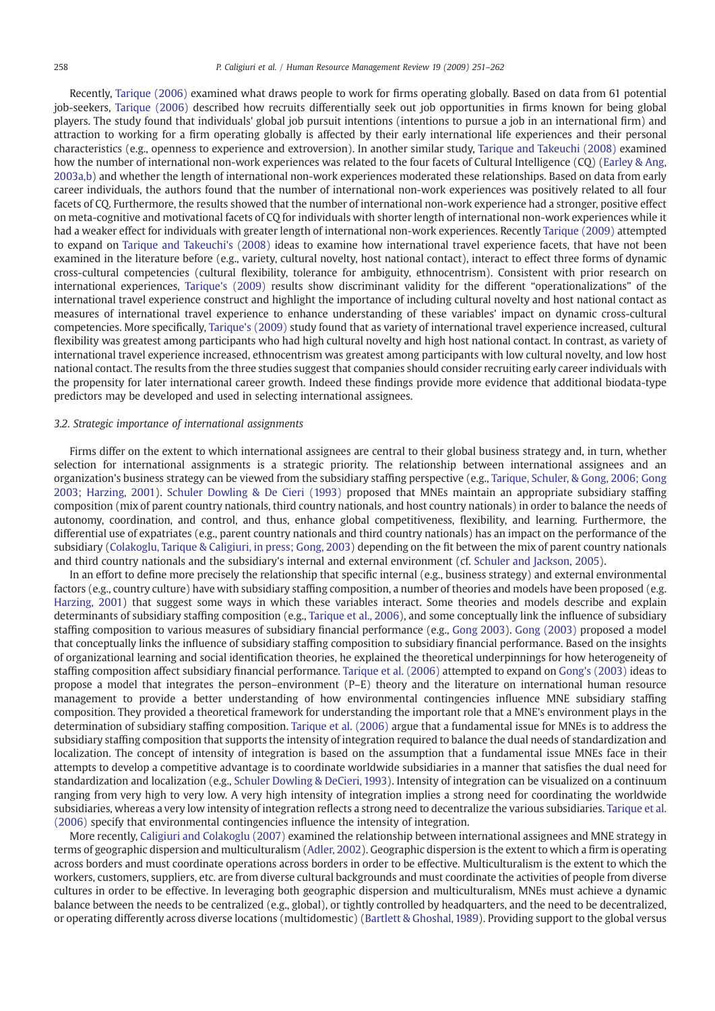Recently, Tarique (2006) examined what draws people to work for firms operating globally. Based on data from 61 potential job-seekers, Tarique (2006) described how recruits differentially seek out job opportunities in firms known for being global players. The study found that individuals' global job pursuit intentions (intentions to pursue a job in an international firm) and attraction to working for a firm operating globally is affected by their early international life experiences and their personal characteristics (e.g., openness to experience and extroversion). In another similar study, Tarique and Takeuchi (2008) examined how the number of international non-work experiences was related to the four facets of Cultural Intelligence (CQ) (Earley & Ang, 2003a,b) and whether the length of international non-work experiences moderated these relationships. Based on data from early career individuals, the authors found that the number of international non-work experiences was positively related to all four facets of CQ. Furthermore, the results showed that the number of international non-work experience had a stronger, positive effect on meta-cognitive and motivational facets of CQ for individuals with shorter length of international non-work experiences while it had a weaker effect for individuals with greater length of international non-work experiences. Recently Tarique (2009) attempted to expand on Tarique and Takeuchi's (2008) ideas to examine how international travel experience facets, that have not been examined in the literature before (e.g., variety, cultural novelty, host national contact), interact to effect three forms of dynamic cross-cultural competencies (cultural flexibility, tolerance for ambiguity, ethnocentrism). Consistent with prior research on international experiences, Tarique's (2009) results show discriminant validity for the different "operationalizations" of the international travel experience construct and highlight the importance of including cultural novelty and host national contact as measures of international travel experience to enhance understanding of these variables' impact on dynamic cross-cultural competencies. More specifically, Tarique's (2009) study found that as variety of international travel experience increased, cultural flexibility was greatest among participants who had high cultural novelty and high host national contact. In contrast, as variety of international travel experience increased, ethnocentrism was greatest among participants with low cultural novelty, and low host national contact. The results from the three studies suggest that companies should consider recruiting early career individuals with the propensity for later international career growth. Indeed these findings provide more evidence that additional biodata-type predictors may be developed and used in selecting international assignees.

#### 3.2. Strategic importance of international assignments

Firms differ on the extent to which international assignees are central to their global business strategy and, in turn, whether selection for international assignments is a strategic priority. The relationship between international assignees and an organization's business strategy can be viewed from the subsidiary staffing perspective (e.g., Tarique, Schuler, & Gong, 2006; Gong 2003; Harzing, 2001). Schuler Dowling & De Cieri (1993) proposed that MNEs maintain an appropriate subsidiary staffing composition (mix of parent country nationals, third country nationals, and host country nationals) in order to balance the needs of autonomy, coordination, and control, and thus, enhance global competitiveness, flexibility, and learning. Furthermore, the differential use of expatriates (e.g., parent country nationals and third country nationals) has an impact on the performance of the subsidiary (Colakoglu, Tarique & Caligiuri, in press; Gong, 2003) depending on the fit between the mix of parent country nationals and third country nationals and the subsidiary's internal and external environment (cf. Schuler and Jackson, 2005).

In an effort to define more precisely the relationship that specific internal (e.g., business strategy) and external environmental factors (e.g., country culture) have with subsidiary staffing composition, a number of theories and models have been proposed (e.g. Harzing, 2001) that suggest some ways in which these variables interact. Some theories and models describe and explain determinants of subsidiary staffing composition (e.g., Tarique et al., 2006), and some conceptually link the influence of subsidiary staffing composition to various measures of subsidiary financial performance (e.g., Gong 2003). Gong (2003) proposed a model that conceptually links the influence of subsidiary staffing composition to subsidiary financial performance. Based on the insights of organizational learning and social identification theories, he explained the theoretical underpinnings for how heterogeneity of staffing composition affect subsidiary financial performance. Tarique et al. (2006) attempted to expand on Gong's (2003) ideas to propose a model that integrates the person–environment (P–E) theory and the literature on international human resource management to provide a better understanding of how environmental contingencies influence MNE subsidiary staffing composition. They provided a theoretical framework for understanding the important role that a MNE's environment plays in the determination of subsidiary staffing composition. Tarique et al. (2006) argue that a fundamental issue for MNEs is to address the subsidiary staffing composition that supports the intensity of integration required to balance the dual needs of standardization and localization. The concept of intensity of integration is based on the assumption that a fundamental issue MNEs face in their attempts to develop a competitive advantage is to coordinate worldwide subsidiaries in a manner that satisfies the dual need for standardization and localization (e.g., Schuler Dowling & DeCieri, 1993). Intensity of integration can be visualized on a continuum ranging from very high to very low. A very high intensity of integration implies a strong need for coordinating the worldwide subsidiaries, whereas a very low intensity of integration reflects a strong need to decentralize the various subsidiaries. Tarique et al. (2006) specify that environmental contingencies influence the intensity of integration.

More recently, Caligiuri and Colakoglu (2007) examined the relationship between international assignees and MNE strategy in terms of geographic dispersion and multiculturalism (Adler, 2002). Geographic dispersion is the extent to which a firm is operating across borders and must coordinate operations across borders in order to be effective. Multiculturalism is the extent to which the workers, customers, suppliers, etc. are from diverse cultural backgrounds and must coordinate the activities of people from diverse cultures in order to be effective. In leveraging both geographic dispersion and multiculturalism, MNEs must achieve a dynamic balance between the needs to be centralized (e.g., global), or tightly controlled by headquarters, and the need to be decentralized, or operating differently across diverse locations (multidomestic) (Bartlett & Ghoshal, 1989). Providing support to the global versus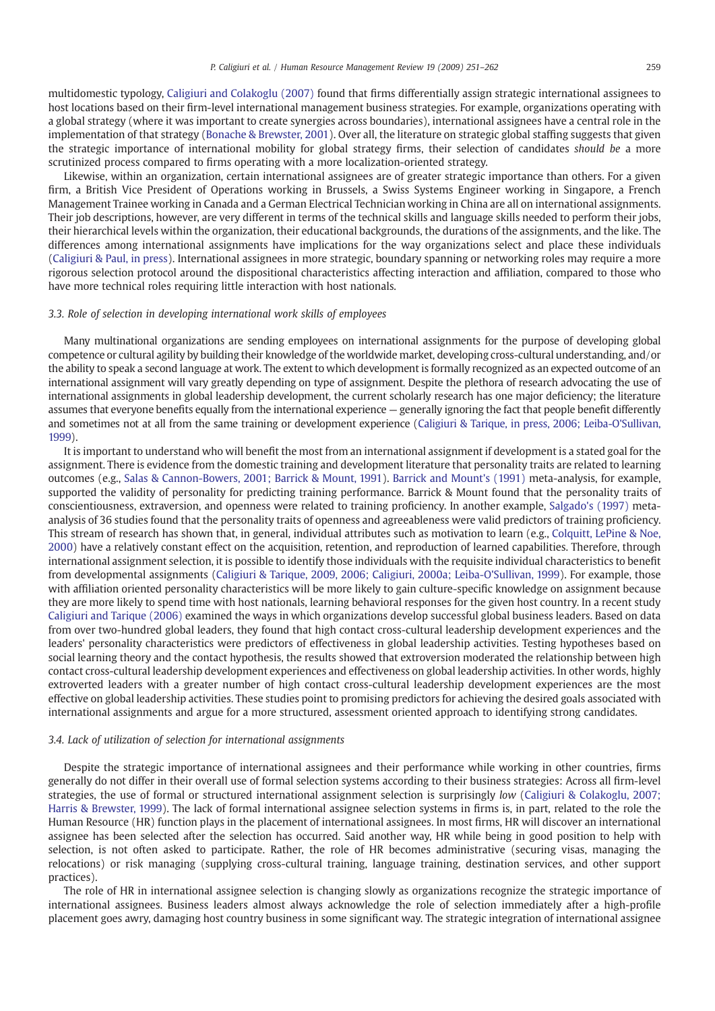multidomestic typology, Caligiuri and Colakoglu (2007) found that firms differentially assign strategic international assignees to host locations based on their firm-level international management business strategies. For example, organizations operating with a global strategy (where it was important to create synergies across boundaries), international assignees have a central role in the implementation of that strategy (Bonache & Brewster, 2001). Over all, the literature on strategic global staffing suggests that given the strategic importance of international mobility for global strategy firms, their selection of candidates should be a more scrutinized process compared to firms operating with a more localization-oriented strategy.

Likewise, within an organization, certain international assignees are of greater strategic importance than others. For a given firm, a British Vice President of Operations working in Brussels, a Swiss Systems Engineer working in Singapore, a French Management Trainee working in Canada and a German Electrical Technician working in China are all on international assignments. Their job descriptions, however, are very different in terms of the technical skills and language skills needed to perform their jobs, their hierarchical levels within the organization, their educational backgrounds, the durations of the assignments, and the like. The differences among international assignments have implications for the way organizations select and place these individuals (Caligiuri & Paul, in press). International assignees in more strategic, boundary spanning or networking roles may require a more rigorous selection protocol around the dispositional characteristics affecting interaction and affiliation, compared to those who have more technical roles requiring little interaction with host nationals.

#### 3.3. Role of selection in developing international work skills of employees

Many multinational organizations are sending employees on international assignments for the purpose of developing global competence or cultural agility by building their knowledge of the worldwide market, developing cross-cultural understanding, and/or the ability to speak a second language at work. The extent to which development is formally recognized as an expected outcome of an international assignment will vary greatly depending on type of assignment. Despite the plethora of research advocating the use of international assignments in global leadership development, the current scholarly research has one major deficiency; the literature assumes that everyone benefits equally from the international experience — generally ignoring the fact that people benefit differently and sometimes not at all from the same training or development experience (Caligiuri & Tarique, in press, 2006; Leiba-O'Sullivan, 1999).

It is important to understand who will benefit the most from an international assignment if development is a stated goal for the assignment. There is evidence from the domestic training and development literature that personality traits are related to learning outcomes (e.g., Salas & Cannon-Bowers, 2001; Barrick & Mount, 1991). Barrick and Mount's (1991) meta-analysis, for example, supported the validity of personality for predicting training performance. Barrick & Mount found that the personality traits of conscientiousness, extraversion, and openness were related to training proficiency. In another example, Salgado's (1997) metaanalysis of 36 studies found that the personality traits of openness and agreeableness were valid predictors of training proficiency. This stream of research has shown that, in general, individual attributes such as motivation to learn (e.g., Colquitt, LePine & Noe, 2000) have a relatively constant effect on the acquisition, retention, and reproduction of learned capabilities. Therefore, through international assignment selection, it is possible to identify those individuals with the requisite individual characteristics to benefit from developmental assignments (Caligiuri & Tarique, 2009, 2006; Caligiuri, 2000a; Leiba-O'Sullivan, 1999). For example, those with affiliation oriented personality characteristics will be more likely to gain culture-specific knowledge on assignment because they are more likely to spend time with host nationals, learning behavioral responses for the given host country. In a recent study Caligiuri and Tarique (2006) examined the ways in which organizations develop successful global business leaders. Based on data from over two-hundred global leaders, they found that high contact cross-cultural leadership development experiences and the leaders' personality characteristics were predictors of effectiveness in global leadership activities. Testing hypotheses based on social learning theory and the contact hypothesis, the results showed that extroversion moderated the relationship between high contact cross-cultural leadership development experiences and effectiveness on global leadership activities. In other words, highly extroverted leaders with a greater number of high contact cross-cultural leadership development experiences are the most effective on global leadership activities. These studies point to promising predictors for achieving the desired goals associated with international assignments and argue for a more structured, assessment oriented approach to identifying strong candidates.

#### 3.4. Lack of utilization of selection for international assignments

Despite the strategic importance of international assignees and their performance while working in other countries, firms generally do not differ in their overall use of formal selection systems according to their business strategies: Across all firm-level strategies, the use of formal or structured international assignment selection is surprisingly low (Caligiuri & Colakoglu, 2007; Harris & Brewster, 1999). The lack of formal international assignee selection systems in firms is, in part, related to the role the Human Resource (HR) function plays in the placement of international assignees. In most firms, HR will discover an international assignee has been selected after the selection has occurred. Said another way, HR while being in good position to help with selection, is not often asked to participate. Rather, the role of HR becomes administrative (securing visas, managing the relocations) or risk managing (supplying cross-cultural training, language training, destination services, and other support practices).

The role of HR in international assignee selection is changing slowly as organizations recognize the strategic importance of international assignees. Business leaders almost always acknowledge the role of selection immediately after a high-profile placement goes awry, damaging host country business in some significant way. The strategic integration of international assignee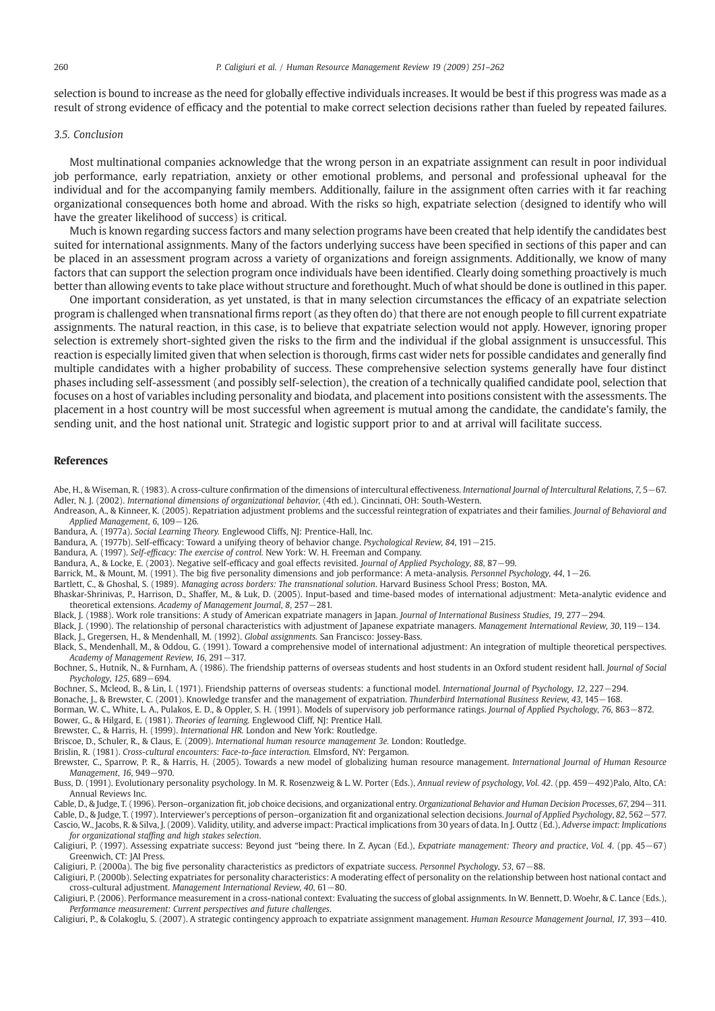selection is bound to increase as the need for globally effective individuals increases. It would be best if this progress was made as a result of strong evidence of efficacy and the potential to make correct selection decisions rather than fueled by repeated failures.

#### 3.5. Conclusion

Most multinational companies acknowledge that the wrong person in an expatriate assignment can result in poor individual job performance, early repatriation, anxiety or other emotional problems, and personal and professional upheaval for the individual and for the accompanying family members. Additionally, failure in the assignment often carries with it far reaching organizational consequences both home and abroad. With the risks so high, expatriate selection (designed to identify who will have the greater likelihood of success) is critical.

Much is known regarding success factors and many selection programs have been created that help identify the candidates best suited for international assignments. Many of the factors underlying success have been specified in sections of this paper and can be placed in an assessment program across a variety of organizations and foreign assignments. Additionally, we know of many factors that can support the selection program once individuals have been identified. Clearly doing something proactively is much better than allowing events to take place without structure and forethought. Much of what should be done is outlined in this paper.

One important consideration, as yet unstated, is that in many selection circumstances the efficacy of an expatriate selection program is challenged when transnational firms report (as they often do) that there are not enough people to fill current expatriate assignments. The natural reaction, in this case, is to believe that expatriate selection would not apply. However, ignoring proper selection is extremely short-sighted given the risks to the firm and the individual if the global assignment is unsuccessful. This reaction is especially limited given that when selection is thorough, firms cast wider nets for possible candidates and generally find multiple candidates with a higher probability of success. These comprehensive selection systems generally have four distinct phases including self-assessment (and possibly self-selection), the creation of a technically qualified candidate pool, selection that focuses on a host of variables including personality and biodata, and placement into positions consistent with the assessments. The placement in a host country will be most successful when agreement is mutual among the candidate, the candidate's family, the sending unit, and the host national unit. Strategic and logistic support prior to and at arrival will facilitate success.

#### References

Abe, H., & Wiseman, R. (1983). A cross-culture confirmation of the dimensions of intercultural effectiveness. International Journal of Intercultural Relations, 7, 5−67. Adler, N. J. (2002). International dimensions of organizational behavior, (4th ed.). Cincinnati, OH: South-Western.

Andreason, A., & Kinneer, K. (2005). Repatriation adjustment problems and the successful reintegration of expatriates and their families. Journal of Behavioral and Applied Management, 6, 109−126.

- Bandura, A. (1977a). Social Learning Theory. Englewood Cliffs, NJ: Prentice-Hall, Inc.
- Bandura, A. (1977b). Self-efficacy: Toward a unifying theory of behavior change. Psychological Review, 84, 191−215.

Bandura, A. (1997). Self-efficacy: The exercise of control. New York: W. H. Freeman and Company.

Bandura, A., & Locke, E. (2003). Negative self-efficacy and goal effects revisited. Journal of Applied Psychology, 88, 87−99.

Barrick, M., & Mount, M. (1991). The big five personality dimensions and job performance: A meta-analysis. Personnel Psychology, 44, 1−26.

Bartlett, C., & Ghoshal, S. (1989). Managing across borders: The transnational solution. Harvard Business School Press; Boston, MA.

Bhaskar-Shrinivas, P., Harrison, D., Shaffer, M., & Luk, D. (2005). Input-based and time-based modes of international adjustment: Meta-analytic evidence and theoretical extensions. Academy of Management Journal, 8, 257−281.

Black, J. (1988). Work role transitions: A study of American expatriate managers in Japan. Journal of International Business Studies, 19, 277−294.

Black, J. (1990). The relationship of personal characteristics with adjustment of Japanese expatriate managers. Management International Review, 30, 119−134. Black, J., Gregersen, H., & Mendenhall, M. (1992). Global assignments. San Francisco: Jossey-Bass.

Black, S., Mendenhall, M., & Oddou, G. (1991). Toward a comprehensive model of international adjustment: An integration of multiple theoretical perspectives. Academy of Management Review, 16, 291−317.

Bochner, S., Hutnik, N., & Furnham, A. (1986). The friendship patterns of overseas students and host students in an Oxford student resident hall. Journal of Social Psychology, 125, 689−694.

Bochner, S., Mcleod, B., & Lin, I. (1971). Friendship patterns of overseas students: a functional model. International Journal of Psychology, 12, 227−294.

Bonache, J., & Brewster, C. (2001). Knowledge transfer and the management of expatriation. Thunderbird International Business Review, 43, 145−168.

Borman, W. C., White, L. A., Pulakos, E. D., & Oppler, S. H. (1991). Models of supervisory job performance ratings. Journal of Applied Psychology, 76, 863−872.

Bower, G., & Hilgard, E. (1981). Theories of learning. Englewood Cliff, NJ: Prentice Hall.

Brewster, C., & Harris, H. (1999). International HR. London and New York: Routledge.

Briscoe, D., Schuler, R., & Claus, E. (2009). International human resource management 3e. London: Routledge.

Brislin, R. (1981). Cross-cultural encounters: Face-to-face interaction. Elmsford, NY: Pergamon.

Brewster, C., Sparrow, P. R., & Harris, H. (2005). Towards a new model of globalizing human resource management. International Journal of Human Resource Management, 16, 949−970.

Buss, D. (1991). Evolutionary personality psychology. In M. R. Rosenzweig & L. W. Porter (Eds.), Annual review of psychology, Vol. 42. (pp. 459−492)Palo, Alto, CA: Annual Reviews Inc.

Cable, D., & Judge, T. (1996). Person–organization fit, job choice decisions, and organizational entry. Organizational Behavior and Human Decision Processes, 67, 294−311.

Cable, D., & Judge, T. (1997). Interviewer's perceptions of person–organization fit and organizational selection decisions. Journal of Applied Psychology, 82, 562 − 577. Cascio, W., Jacobs, R. & Silva, J. (2009). Validity, utility, and adverse impact: Practical implications from 30 years of data. In J. Outtz (Ed.), Adverse impact: Implications for organizational staffing and high stakes selection.

Caligiuri, P. (1997). Assessing expatriate success: Beyond just "being there. In Z. Aycan (Ed.), Expatriate management: Theory and practice, Vol. 4. (pp. 45−67) Greenwich, CT: JAI Press.

Caligiuri, P. (2000a). The big five personality characteristics as predictors of expatriate success. Personnel Psychology, 53, 67−88.

Caligiuri, P. (2000b). Selecting expatriates for personality characteristics: A moderating effect of personality on the relationship between host national contact and cross-cultural adjustment. Management International Review, 40, 61−80.

Caligiuri, P. (2006). Performance measurement in a cross-national context: Evaluating the success of global assignments. In W. Bennett, D. Woehr, & C. Lance (Eds.), Performance measurement: Current perspectives and future challenges.

Caligiuri, P., & Colakoglu, S. (2007). A strategic contingency approach to expatriate assignment management. Human Resource Management Journal, 17, 393−410.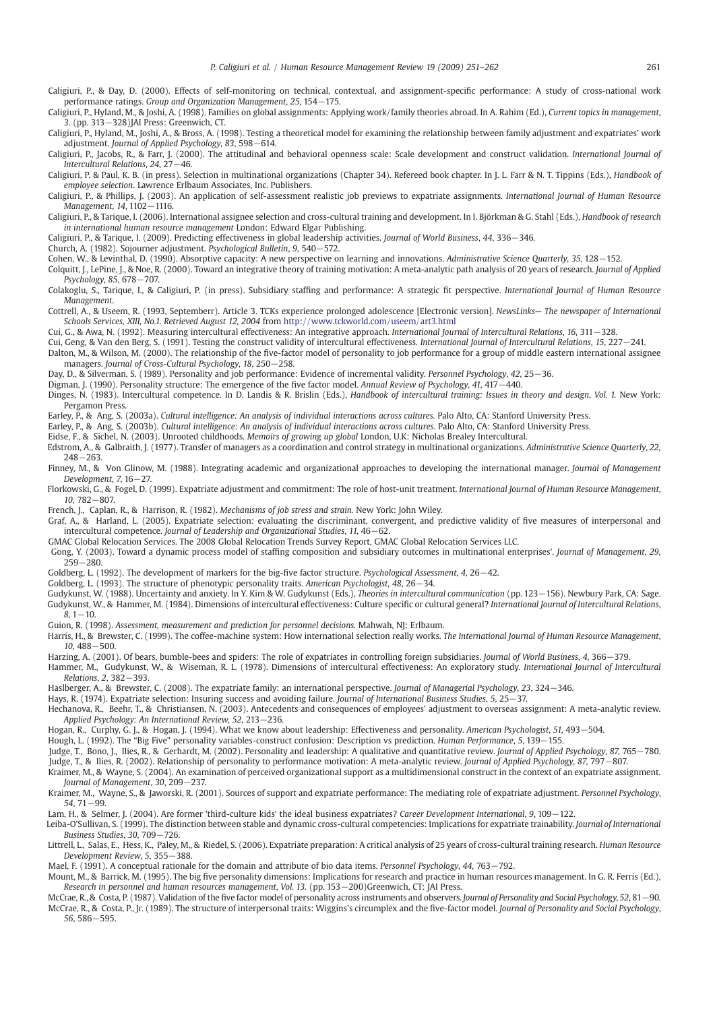- Caligiuri, P., & Day, D. (2000). Effects of self-monitoring on technical, contextual, and assignment-specific performance: A study of cross-national work performance ratings. Group and Organization Management, 25, 154−175.
- Caligiuri, P., Hyland, M., & Joshi, A. (1998). Families on global assignments: Applying work/family theories abroad. In A. Rahim (Ed.), Current topics in management, 3. (pp. 313−328)JAI Press: Greenwich, CT.
- Caligiuri, P., Hyland, M., Joshi, A., & Bross, A. (1998). Testing a theoretical model for examining the relationship between family adjustment and expatriates' work adjustment. Journal of Applied Psychology, 83, 598−614.
- Caligiuri, P., Jacobs, R., & Farr, J. (2000). The attitudinal and behavioral openness scale: Scale development and construct validation. International Journal of Intercultural Relations, 24, 27−46.
- Caligiuri, P. & Paul, K. B. (in press). Selection in multinational organizations (Chapter 34). Refereed book chapter. In J. L. Farr & N. T. Tippins (Eds.), Handbook of employee selection. Lawrence Erlbaum Associates, Inc. Publishers.
- Caligiuri, P., & Phillips, J. (2003). An application of self-assessment realistic job previews to expatriate assignments. International Journal of Human Resource Management, 14, 1102−1116.
- Caligiuri, P., & Tarique, I. (2006). International assignee selection and cross-cultural training and development. In I. Björkman & G. Stahl (Eds.), Handbook of research in international human resource management London: Edward Elgar Publishing.
- Caligiuri, P., & Tarique, I. (2009). Predicting effectiveness in global leadership activities. Journal of World Business, 44, 336−346.
- Church, A. (1982). Sojourner adjustment. Psychological Bulletin, 9, 540−572.
- Cohen, W., & Levinthal, D. (1990). Absorptive capacity: A new perspective on learning and innovations. Administrative Science Quarterly, 35, 128−152.
- Colquitt, J., LePine, J., & Noe, R. (2000). Toward an integrative theory of training motivation: A meta-analytic path analysis of 20 years of research. Journal of Applied
- Psychology, 85, 678−707. Colakoglu, S., Tarique, I., & Caligiuri, P. (in press). Subsidiary staffing and performance: A strategic fit perspective. International Journal of Human Resource
- Management. Cottrell, A., & Useem, R. (1993, Septemberr). Article 3. TCKs experience prolonged adolescence [Electronic version]. NewsLinks— The newspaper of International Schools Services, XIII, No.1. Retrieved August 12, 2004 from http://www.tckworld.com/useem/art3.html
- Cui, G., & Awa, N. (1992). Measuring intercultural effectiveness: An integrative approach. International Journal of Intercultural Relations, 16, 311−328.
- Cui, Geng, & Van den Berg, S. (1991). Testing the construct validity of intercultural effectiveness. International Journal of Intercultural Relations, 15, 227−241.
- Dalton, M., & Wilson, M. (2000). The relationship of the five-factor model of personality to job performance for a group of middle eastern international assignee managers. Journal of Cross-Cultural Psychology, 18, 250−258.
- Day, D., & Silverman, S. (1989). Personality and job performance: Evidence of incremental validity. Personnel Psychology, 42, 25−36.
- Digman, J. (1990). Personality structure: The emergence of the five factor model. Annual Review of Psychology, 41, 417−440.
- Dinges, N. (1983). Intercultural competence. In D. Landis & R. Brislin (Eds.), Handbook of intercultural training: Issues in theory and design, Vol. 1. New York: Pergamon Press.
- Earley, P., & Ang, S. (2003a). Cultural intelligence: An analysis of individual interactions across cultures. Palo Alto, CA: Stanford University Press.
- Earley, P., & Ang, S. (2003b). Cultural intelligence: An analysis of individual interactions across cultures. Palo Alto, CA: Stanford University Press.
- Eidse, F., & Sichel, N. (2003). Unrooted childhoods. Memoirs of growing up global London, U.K: Nicholas Brealey Intercultural.
- Edstrom, A., & Galbraith, J. (1977). Transfer of managers as a coordination and control strategy in multinational organizations. Administrative Science Quarterly, 22, 248−263.
- Finney, M., & Von Glinow, M. (1988). Integrating academic and organizational approaches to developing the international manager. Journal of Management Development, 7, 16−27.
- Florkowski, G., & Fogel, D. (1999). Expatriate adjustment and commitment: The role of host-unit treatment. International Journal of Human Resource Management, 10, 782−807.
- French, J., Caplan, R., & Harrison, R. (1982). Mechanisms of job stress and strain. New York: John Wiley.
- Graf, A., & Harland, L. (2005). Expatriate selection: evaluating the discriminant, convergent, and predictive validity of five measures of interpersonal and intercultural competence. Journal of Leadership and Organizational Studies, 11, 46−62.
- GMAC Global Relocation Services. The 2008 Global Relocation Trends Survey Report, GMAC Global Relocation Services LLC.
- Gong, Y. (2003). Toward a dynamic process model of staffing composition and subsidiary outcomes in multinational enterprises'. Journal of Management, 29, 259−280.
- Goldberg, L. (1992). The development of markers for the big-five factor structure. Psychological Assessment, 4, 26−42.
- Goldberg, L. (1993). The structure of phenotypic personality traits. American Psychologist, 48, 26−34.
- Gudykunst, W. (1988). Uncertainty and anxiety. In Y. Kim & W. Gudykunst (Eds.), Theories in intercultural communication (pp. 123−156). Newbury Park, CA: Sage. Gudykunst, W., & Hammer, M. (1984). Dimensions of intercultural effectiveness: Culture specific or cultural general? International Journal of Intercultural Relations,  $8, 1 - 10$
- Guion, R. (1998). Assessment, measurement and prediction for personnel decisions. Mahwah, NJ: Erlbaum.
- Harris, H., & Brewster, C. (1999). The coffee-machine system: How international selection really works. The International Journal of Human Resource Management, 10, 488−500.
- Harzing, A. (2001). Of bears, bumble-bees and spiders: The role of expatriates in controlling foreign subsidiaries. Journal of World Business, 4, 366−379.
- Hammer, M., Gudykunst, W., & Wiseman, R. L. (1978). Dimensions of intercultural effectiveness: An exploratory study. International Journal of Intercultural Relations, 2, 382−393.
- Haslberger, A., & Brewster, C. (2008). The expatriate family: an international perspective. Journal of Managerial Psychology, 23, 324−346.
- Hays, R. (1974). Expatriate selection: Insuring success and avoiding failure. Journal of International Business Studies, 5, 25−37.
- Hechanova, R., Beehr, T., & Christiansen, N. (2003). Antecedents and consequences of employees' adjustment to overseas assignment: A meta-analytic review. Applied Psychology: An International Review, 52, 213−236.
- Hogan, R., Curphy, G. J., & Hogan, J. (1994). What we know about leadership: Effectiveness and personality. American Psychologist, 51, 493−504.
- Hough, L. (1992). The "Big Five" personality variables-construct confusion: Description vs prediction. Human Performance, 5, 139−155.
- Judge, T., Bono, J., Ilies, R., & Gerhardt, M. (2002). Personality and leadership: A qualitative and quantitative review. Journal of Applied Psychology, 87, 765−780. Judge, T., & Ilies, R. (2002). Relationship of personality to performance motivation: A meta-analytic review. Journal of Applied Psychology, 87, 797−807.
- Kraimer, M., & Wayne, S. (2004). An examination of perceived organizational support as a multidimensional construct in the context of an expatriate assignment. Journal of Management, 30, 209−237.
- Kraimer, M., Wayne, S., & Jaworski, R. (2001). Sources of support and expatriate performance: The mediating role of expatriate adjustment. Personnel Psychology, 54, 71−99.
- Lam, H., & Selmer, J. (2004). Are former 'third-culture kids' the ideal business expatriates? Career Development International, 9, 109−122.
- Leiba-O'Sullivan, S. (1999). The distinction between stable and dynamic cross-cultural competencies: Implications for expatriate trainability. Journal of International Business Studies, 30, 709−726.
- Littrell, L., Salas, E., Hess, K., Paley, M., & Riedel, S. (2006). Expatriate preparation: A critical analysis of 25 years of cross-cultural training research. Human Resource Development Review, 5, 355−388.
- Mael, F. (1991). A conceptual rationale for the domain and attribute of bio data items. Personnel Psychology, 44, 763−792.
- Mount, M., & Barrick, M. (1995). The big five personality dimensions: Implications for research and practice in human resources management. In G. R. Ferris (Ed.), Research in personnel and human resources management, Vol. 13. (pp. 153−200)Greenwich, CT: JAI Press.
- McCrae, R., & Costa, P. (1987). Validation of the five factor model of personality across instruments and observers. Journal of Personality and Social Psychology, 52, 81−90. McCrae, R., & Costa, P., Jr. (1989). The structure of interpersonal traits: Wiggins's circumplex and the five-factor model. Journal of Personality and Social Psychology, 56, 586−595.